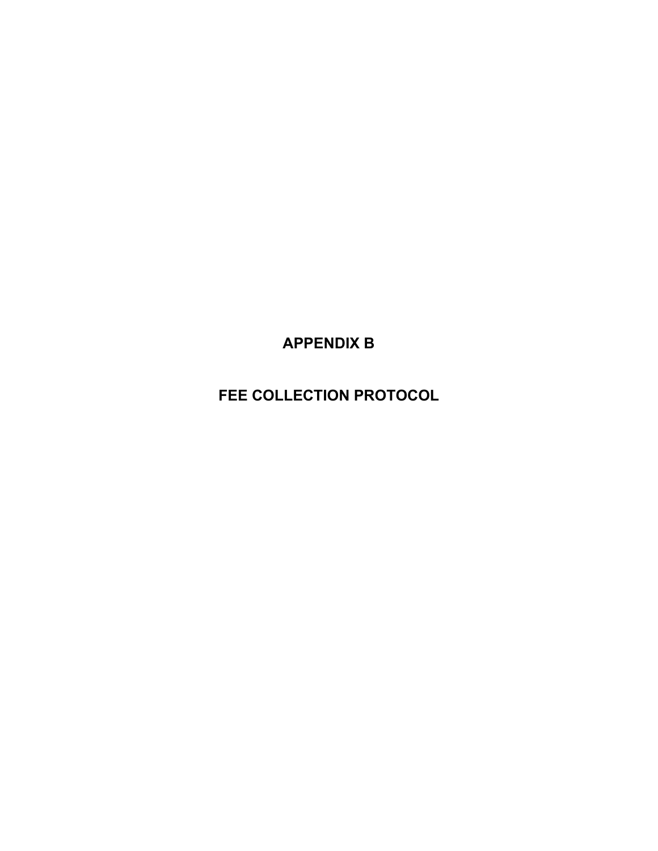**APPENDIX B**

**FEE COLLECTION PROTOCOL**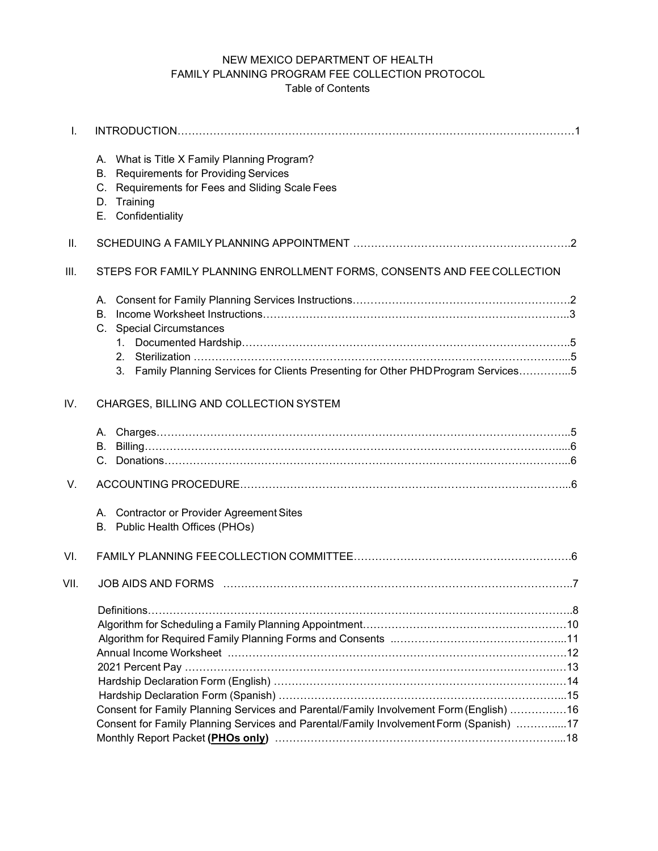# NEW MEXICO DEPARTMENT OF HEALTH FAMILY PLANNING PROGRAM FEE COLLECTION PROTOCOL Table of Contents

| A. What is Title X Family Planning Program?<br><b>Requirements for Providing Services</b><br>В.<br>C. Requirements for Fees and Sliding Scale Fees<br>D. Training<br>E. Confidentiality |                                                                                                                |
|-----------------------------------------------------------------------------------------------------------------------------------------------------------------------------------------|----------------------------------------------------------------------------------------------------------------|
|                                                                                                                                                                                         |                                                                                                                |
| STEPS FOR FAMILY PLANNING ENROLLMENT FORMS, CONSENTS AND FEE COLLECTION                                                                                                                 |                                                                                                                |
| А.<br>В.<br><b>Special Circumstances</b><br>C.<br>Family Planning Services for Clients Presenting for Other PHD Program Services5<br>3.                                                 |                                                                                                                |
| CHARGES, BILLING AND COLLECTION SYSTEM                                                                                                                                                  |                                                                                                                |
|                                                                                                                                                                                         |                                                                                                                |
|                                                                                                                                                                                         |                                                                                                                |
| A. Contractor or Provider Agreement Sites<br>B. Public Health Offices (PHOs)                                                                                                            |                                                                                                                |
|                                                                                                                                                                                         |                                                                                                                |
| JOB AIDS AND FORMS                                                                                                                                                                      |                                                                                                                |
| Consent for Family Planning Services and Parental/Family Involvement Form (English) 16<br>Consent for Family Planning Services and Parental/Family Involvement Form (Spanish) 17        |                                                                                                                |
|                                                                                                                                                                                         | Monthly Report Packet (PHOs only) manufactured controller controller and the Monthly Report Packet (PHOs only) |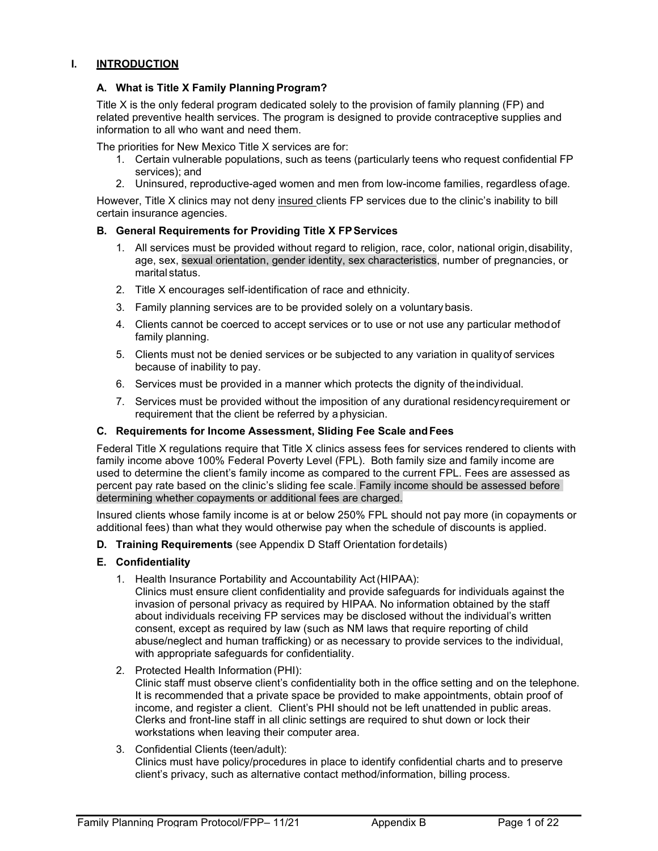#### **I. INTRODUCTION**

#### **A. What is Title X Family Planning Program?**

Title X is the only federal program dedicated solely to the provision of family planning (FP) and related preventive health services. The program is designed to provide contraceptive supplies and information to all who want and need them.

The priorities for New Mexico Title X services are for:

- 1. Certain vulnerable populations, such as teens (particularly teens who request confidential FP services); and
- 2. Uninsured, reproductive-aged women and men from low-income families, regardless ofage.

However, Title X clinics may not deny insured clients FP services due to the clinic's inability to bill certain insurance agencies.

#### **B. General Requirements for Providing Title X FPServices**

- 1. All services must be provided without regard to religion, race, color, national origin, disability, age, sex, sexual orientation, gender identity, sex characteristics, number of pregnancies, or marital status.
- 2. Title X encourages self-identification of race and ethnicity.
- 3. Family planning services are to be provided solely on a voluntary basis.
- 4. Clients cannot be coerced to accept services or to use or not use any particular methodof family planning.
- 5. Clients must not be denied services or be subjected to any variation in qualityof services because of inability to pay.
- 6. Services must be provided in a manner which protects the dignity of theindividual.
- 7. Services must be provided without the imposition of any durational residencyrequirement or requirement that the client be referred by a physician.

#### **C. Requirements for Income Assessment, Sliding Fee Scale andFees**

Federal Title X regulations require that Title X clinics assess fees for services rendered to clients with family income above 100% Federal Poverty Level (FPL). Both family size and family income are used to determine the client's family income as compared to the current FPL. Fees are assessed as percent pay rate based on the clinic's sliding fee scale. Family income should be assessed before determining whether copayments or additional fees are charged.

Insured clients whose family income is at or below 250% FPL should not pay more (in copayments or additional fees) than what they would otherwise pay when the schedule of discounts is applied.

#### **D. Training Requirements** (see Appendix D Staff Orientation fordetails)

#### **E. Confidentiality**

- 1. Health Insurance Portability and Accountability Act(HIPAA):
	- Clinics must ensure client confidentiality and provide safeguards for individuals against the invasion of personal privacy as required by HIPAA. No information obtained by the staff about individuals receiving FP services may be disclosed without the individual's written consent, except as required by law (such as NM laws that require reporting of child abuse/neglect and human trafficking) or as necessary to provide services to the individual, with appropriate safeguards for confidentiality.
- 2. Protected Health Information (PHI): Clinic staff must observe client's confidentiality both in the office setting and on the telephone. It is recommended that a private space be provided to make appointments, obtain proof of income, and register a client. Client's PHI should not be left unattended in public areas. Clerks and front-line staff in all clinic settings are required to shut down or lock their workstations when leaving their computer area.

# 3. Confidential Clients (teen/adult):

Clinics must have policy/procedures in place to identify confidential charts and to preserve client's privacy, such as alternative contact method/information, billing process.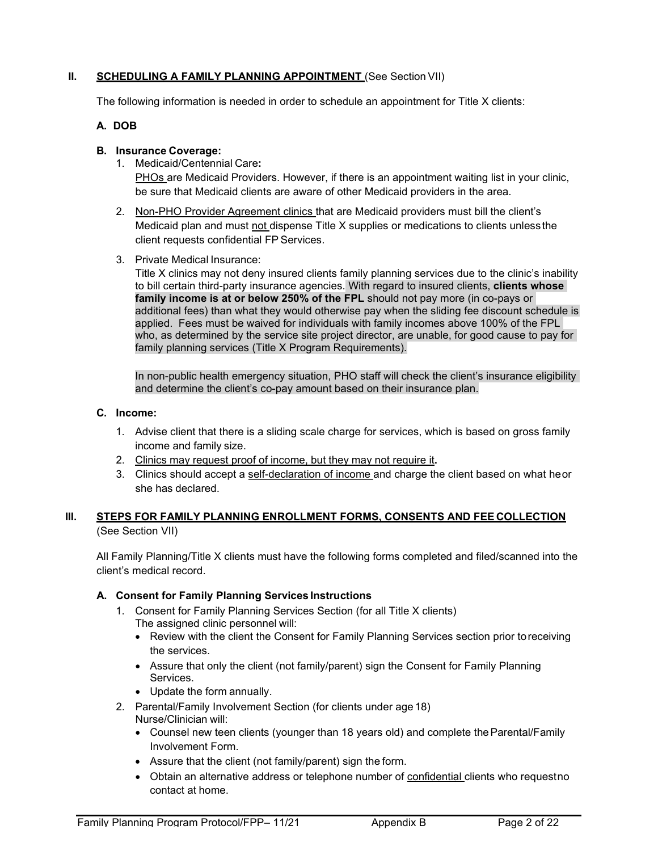# **II. SCHEDULING A FAMILY PLANNING APPOINTMENT** (See Section VII)

The following information is needed in order to schedule an appointment for Title X clients:

#### **A. DOB**

#### **B. Insurance Coverage:**

1. Medicaid/Centennial Care**:**

PHOs are Medicaid Providers. However, if there is an appointment waiting list in your clinic, be sure that Medicaid clients are aware of other Medicaid providers in the area.

- 2. Non-PHO Provider Agreement clinics that are Medicaid providers must bill the client's Medicaid plan and must not dispense Title X supplies or medications to clients unless the client requests confidential FP Services.
- 3. Private Medical Insurance:

Title X clinics may not deny insured clients family planning services due to the clinic's inability to bill certain third-party insurance agencies. With regard to insured clients, **clients whose family income is at or below 250% of the FPL** should not pay more (in co-pays or additional fees) than what they would otherwise pay when the sliding fee discount schedule is applied. Fees must be waived for individuals with family incomes above 100% of the FPL who, as determined by the service site project director, are unable, for good cause to pay for family planning services (Title X Program Requirements).

In non-public health emergency situation, PHO staff will check the client's insurance eligibility and determine the client's co-pay amount based on their insurance plan.

#### **C. Income:**

- 1. Advise client that there is a sliding scale charge for services, which is based on gross family income and family size.
- 2. Clinics may request proof of income, but they may not require it**.**
- 3. Clinics should accept a self-declaration of income and charge the client based on what heor she has declared.

#### **III. STEPS FOR FAMILY PLANNING ENROLLMENT FORMS, CONSENTS AND FEE COLLECTION** (See Section VII)

All Family Planning/Title X clients must have the following forms completed and filed/scanned into the client's medical record.

#### **A. Consent for Family Planning Services Instructions**

- 1. Consent for Family Planning Services Section (for all Title X clients) The assigned clinic personnel will:
	- Review with the client the Consent for Family Planning Services section prior toreceiving the services.
	- Assure that only the client (not family/parent) sign the Consent for Family Planning Services.
	- Update the form annually.
- 2. Parental/Family Involvement Section (for clients under age 18) Nurse/Clinician will:
	- Counsel new teen clients (younger than 18 years old) and complete the Parental/Family Involvement Form.
	- Assure that the client (not family/parent) sign the form.
	- Obtain an alternative address or telephone number of confidential clients who requestno contact at home.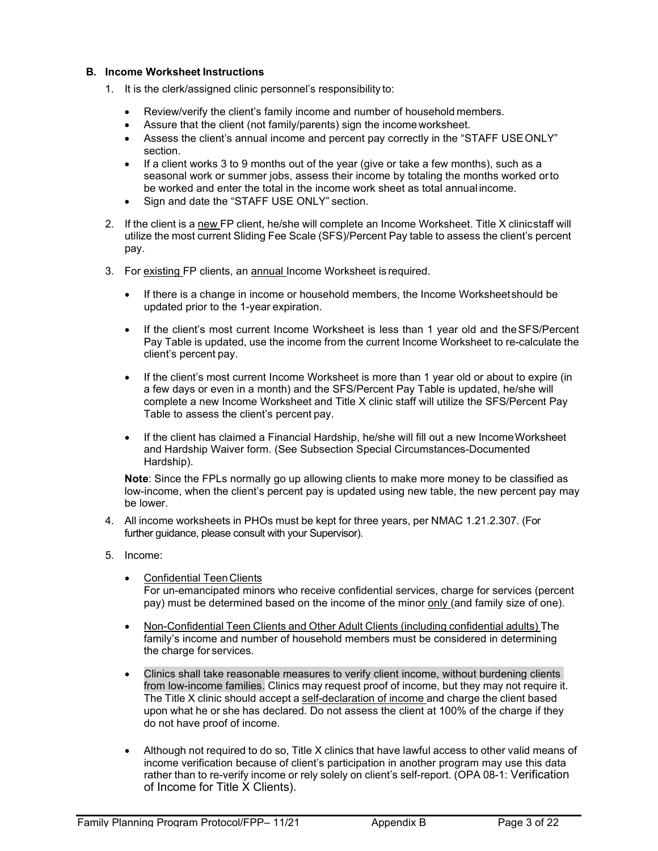#### **B. Income Worksheet Instructions**

- 1. It is the clerk/assigned clinic personnel's responsibility to:
	- Review/verify the client's family income and number of household members.
	- Assure that the client (not family/parents) sign the incomeworksheet.
	- Assess the client's annual income and percent pay correctly in the "STAFF USEONLY" section.
	- If a client works 3 to 9 months out of the year (give or take a few months), such as a seasonal work or summer jobs, assess their income by totaling the months worked orto be worked and enter the total in the income work sheet as total annual income.
	- Sign and date the "STAFF USE ONLY" section.
- 2. If the client is a new FP client, he/she will complete an Income Worksheet. Title X clinicstaff will utilize the most current Sliding Fee Scale (SFS)/Percent Pay table to assess the client's percent pay.
- 3. For existing FP clients, an annual Income Worksheet is required.
	- If there is a change in income or household members, the Income Worksheetshould be updated prior to the 1-year expiration.
	- If the client's most current Income Worksheet is less than 1 year old and the SFS/Percent Pay Table is updated, use the income from the current Income Worksheet to re-calculate the client's percent pay.
	- If the client's most current Income Worksheet is more than 1 year old or about to expire (in a few days or even in a month) and the SFS/Percent Pay Table is updated, he/she will complete a new Income Worksheet and Title X clinic staff will utilize the SFS/Percent Pay Table to assess the client's percent pay.
	- If the client has claimed a Financial Hardship, he/she will fill out a new IncomeWorksheet and Hardship Waiver form. (See Subsection Special Circumstances-Documented Hardship).

**Note**: Since the FPLs normally go up allowing clients to make more money to be classified as low-income, when the client's percent pay is updated using new table, the new percent pay may be lower.

- 4. All income worksheets in PHOs must be kept for three years, per NMAC 1.21.2.307. (For further guidance, please consult with your Supervisor).
- 5. Income:
	- **Confidential Teen Clients**

For un-emancipated minors who receive confidential services, charge for services (percent pay) must be determined based on the income of the minor only (and family size of one).

- Non-Confidential Teen Clients and Other Adult Clients (including confidential adults) The family's income and number of household members must be considered in determining the charge for services.
- Clinics shall take reasonable measures to verify client income, without burdening clients from low-income families. Clinics may request proof of income, but they may not require it. The Title X clinic should accept a self-declaration of income and charge the client based upon what he or she has declared. Do not assess the client at 100% of the charge if they do not have proof of income.
- Although not required to do so, Title X clinics that have lawful access to other valid means of income verification because of client's participation in another program may use this data rather than to re-verify income or rely solely on client's self-report. (OPA 08-1: Verification of Income for Title X Clients).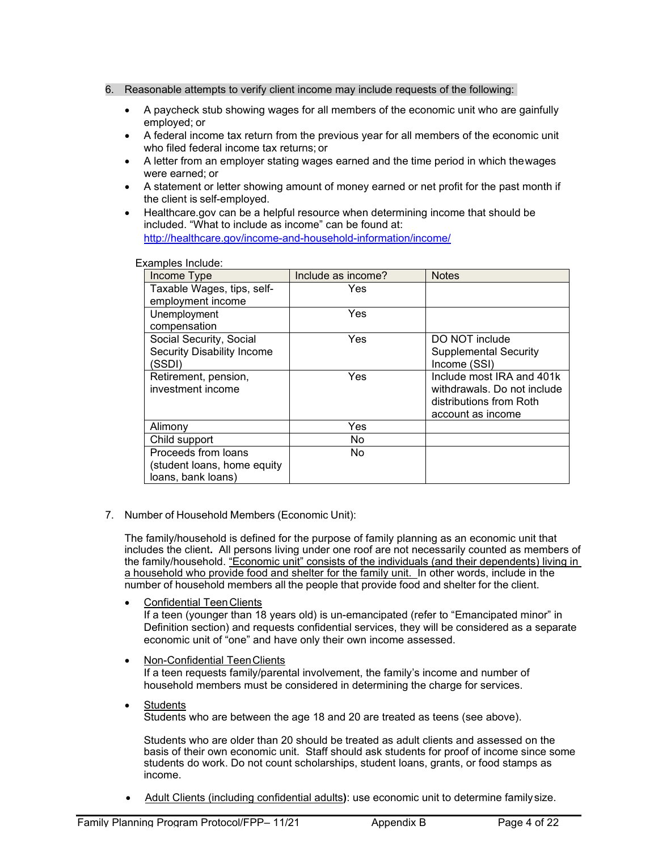#### 6. Reasonable attempts to verify client income may include requests of the following:

- A paycheck stub showing wages for all members of the economic unit who are gainfully employed; or
- A federal income tax return from the previous year for all members of the economic unit who filed federal income tax returns; or
- A letter from an employer stating wages earned and the time period in which thewages were earned; or
- A statement or letter showing amount of money earned or net profit for the past month if the client is self-employed.
- Healthcare.gov can be a helpful resource when determining income that should be included. "What to include as income" can be found at: <http://healthcare.gov/income-and-household-information/income/>

Examples Include:

| Income Type                 | Include as income? | <b>Notes</b>                 |
|-----------------------------|--------------------|------------------------------|
| Taxable Wages, tips, self-  | Yes                |                              |
| employment income           |                    |                              |
| Unemployment                | Yes                |                              |
| compensation                |                    |                              |
| Social Security, Social     | Yes                | DO NOT include               |
| Security Disability Income  |                    | <b>Supplemental Security</b> |
| (SSDI)                      |                    | Income (SSI)                 |
| Retirement, pension,        | Yes                | Include most IRA and 401k    |
| investment income           |                    | withdrawals. Do not include  |
|                             |                    | distributions from Roth      |
|                             |                    | account as income            |
| Alimony                     | Yes                |                              |
| Child support               | No.                |                              |
| Proceeds from loans         | No.                |                              |
| (student loans, home equity |                    |                              |
| loans, bank loans)          |                    |                              |

7. Number of Household Members (Economic Unit):

The family/household is defined for the purpose of family planning as an economic unit that includes the client**.** All persons living under one roof are not necessarily counted as members of the family/household. "Economic unit" consists of the individuals (and their dependents) living in a household who provide food and shelter for the family unit. In other words, include in the number of household members all the people that provide food and shelter for the client.

Confidential Teen Clients

If a teen (younger than 18 years old) is un-emancipated (refer to "Emancipated minor" in Definition section) and requests confidential services, they will be considered as a separate economic unit of "one" and have only their own income assessed.

• Non-Confidential TeenClients

If a teen requests family/parental involvement, the family's income and number of household members must be considered in determining the charge for services.

**Students** Students who are between the age 18 and 20 are treated as teens (see above).

Students who are older than 20 should be treated as adult clients and assessed on the basis of their own economic unit. Staff should ask students for proof of income since some students do work. Do not count scholarships, student loans, grants, or food stamps as income.

• Adult Clients (including confidential adults**)**: use economic unit to determine familysize.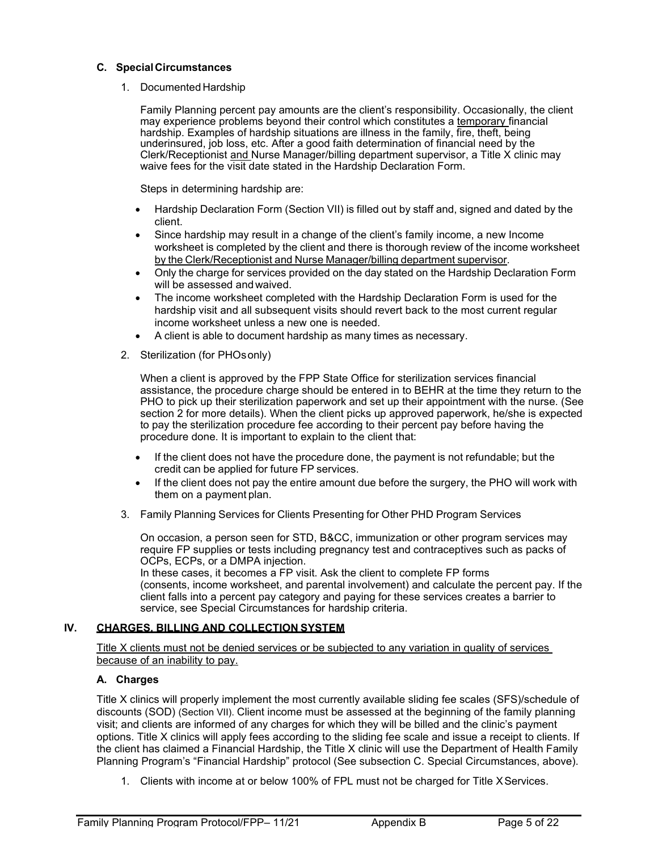#### **C. SpecialCircumstances**

#### 1. Documented Hardship

Family Planning percent pay amounts are the client's responsibility. Occasionally, the client may experience problems beyond their control which constitutes a temporary financial hardship. Examples of hardship situations are illness in the family, fire, theft, being underinsured, job loss, etc. After a good faith determination of financial need by the Clerk/Receptionist and Nurse Manager/billing department supervisor, a Title X clinic may waive fees for the visit date stated in the Hardship Declaration Form.

Steps in determining hardship are:

- Hardship Declaration Form (Section VII) is filled out by staff and, signed and dated by the client.
- Since hardship may result in a change of the client's family income, a new Income worksheet is completed by the client and there is thorough review of the income worksheet by the Clerk/Receptionist and Nurse Manager/billing department supervisor.
- Only the charge for services provided on the day stated on the Hardship Declaration Form will be assessed and waived.
- The income worksheet completed with the Hardship Declaration Form is used for the hardship visit and all subsequent visits should revert back to the most current regular income worksheet unless a new one is needed.
- A client is able to document hardship as many times as necessary.
- 2. Sterilization (for PHOsonly)

When a client is approved by the FPP State Office for sterilization services financial assistance, the procedure charge should be entered in to BEHR at the time they return to the PHO to pick up their sterilization paperwork and set up their appointment with the nurse. (See section 2 for more details). When the client picks up approved paperwork, he/she is expected to pay the sterilization procedure fee according to their percent pay before having the procedure done. It is important to explain to the client that:

- If the client does not have the procedure done, the payment is not refundable; but the credit can be applied for future FP services.
- If the client does not pay the entire amount due before the surgery, the PHO will work with them on a payment plan.
- 3. Family Planning Services for Clients Presenting for Other PHD Program Services

On occasion, a person seen for STD, B&CC, immunization or other program services may require FP supplies or tests including pregnancy test and contraceptives such as packs of OCPs, ECPs, or a DMPA injection.

In these cases, it becomes a FP visit. Ask the client to complete FP forms (consents, income worksheet, and parental involvement) and calculate the percent pay. If the client falls into a percent pay category and paying for these services creates a barrier to service, see Special Circumstances for hardship criteria.

#### **IV. CHARGES, BILLING AND COLLECTION SYSTEM**

Title X clients must not be denied services or be subjected to any variation in quality of services because of an inability to pay.

#### **A. Charges**

Title X clinics will properly implement the most currently available sliding fee scales (SFS)/schedule of discounts (SOD) (Section VII). Client income must be assessed at the beginning of the family planning visit; and clients are informed of any charges for which they will be billed and the clinic's payment options. Title X clinics will apply fees according to the sliding fee scale and issue a receipt to clients. If the client has claimed a Financial Hardship, the Title X clinic will use the Department of Health Family Planning Program's "Financial Hardship" protocol (See subsection C. Special Circumstances, above).

1. Clients with income at or below 100% of FPL must not be charged for Title XServices.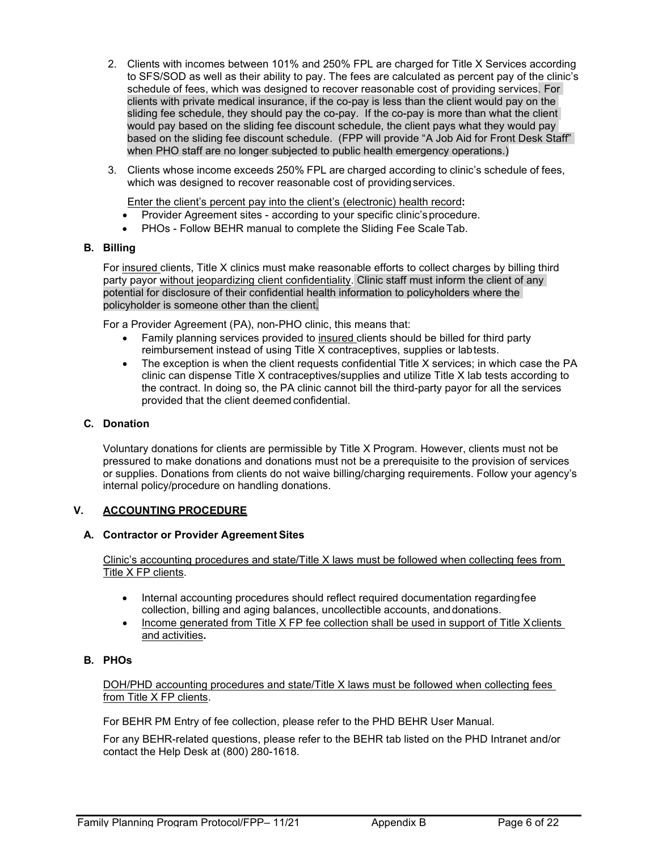- 2. Clients with incomes between 101% and 250% FPL are charged for Title X Services according to SFS/SOD as well as their ability to pay. The fees are calculated as percent pay of the clinic's schedule of fees, which was designed to recover reasonable cost of providing services. For clients with private medical insurance, if the co-pay is less than the client would pay on the sliding fee schedule, they should pay the co-pay. If the co-pay is more than what the client would pay based on the sliding fee discount schedule, the client pays what they would pay based on the sliding fee discount schedule. (FPP will provide "A Job Aid for Front Desk Staff" when PHO staff are no longer subjected to public health emergency operations.)
- 3. Clients whose income exceeds 250% FPL are charged according to clinic's schedule of fees, which was designed to recover reasonable cost of providing services.

Enter the client's percent pay into the client's (electronic) health record**:**

- Provider Agreement sites according to your specific clinic'sprocedure.
- PHOs Follow BEHR manual to complete the Sliding Fee Scale Tab.

#### **B. Billing**

For insured clients, Title X clinics must make reasonable efforts to collect charges by billing third party payor without jeopardizing client confidentiality. Clinic staff must inform the client of any potential for disclosure of their confidential health information to policyholders where the policyholder is someone other than the client.

For a Provider Agreement (PA), non-PHO clinic, this means that:

- Family planning services provided to insured clients should be billed for third party reimbursement instead of using Title X contraceptives, supplies or labtests.
- The exception is when the client requests confidential Title X services; in which case the PA clinic can dispense Title X contraceptives/supplies and utilize Title X lab tests according to the contract. In doing so, the PA clinic cannot bill the third-party payor for all the services provided that the client deemed confidential.

#### **C. Donation**

Voluntary donations for clients are permissible by Title X Program. However, clients must not be pressured to make donations and donations must not be a prerequisite to the provision of services or supplies. Donations from clients do not waive billing/charging requirements. Follow your agency's internal policy/procedure on handling donations.

#### **V. ACCOUNTING PROCEDURE**

#### **A. Contractor or Provider Agreement Sites**

Clinic's accounting procedures and state/Title X laws must be followed when collecting fees from Title X FP clients.

- Internal accounting procedures should reflect required documentation regardingfee collection, billing and aging balances, uncollectible accounts, anddonations.
- Income generated from Title X FP fee collection shall be used in support of Title Xclients and activities**.**

#### **B. PHOs**

DOH/PHD accounting procedures and state/Title X laws must be followed when collecting fees from Title X FP clients.

For BEHR PM Entry of fee collection, please refer to the PHD BEHR User Manual.

For any BEHR-related questions, please refer to the BEHR tab listed on the PHD Intranet and/or contact the Help Desk at (800) 280-1618.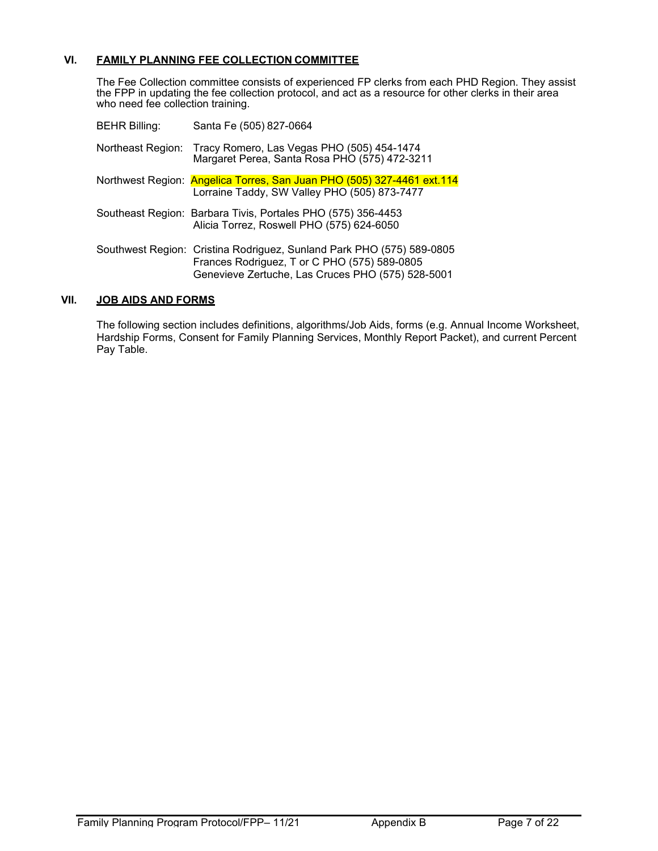#### **VI. FAMILY PLANNING FEE COLLECTION COMMITTEE**

The Fee Collection committee consists of experienced FP clerks from each PHD Region. They assist the FPP in updating the fee collection protocol, and act as a resource for other clerks in their area who need fee collection training.

| <b>BEHR Billing:</b> | Santa Fe (505) 827-0664                                                                                                                                                    |
|----------------------|----------------------------------------------------------------------------------------------------------------------------------------------------------------------------|
|                      | Northeast Region: Tracy Romero, Las Vegas PHO (505) 454-1474<br>Margaret Perea, Santa Rosa PHO (575) 472-3211                                                              |
|                      | Northwest Region: Angelica Torres, San Juan PHO (505) 327-4461 ext.114<br>Lorraine Taddy, SW Valley PHO (505) 873-7477                                                     |
|                      | Southeast Region: Barbara Tivis, Portales PHO (575) 356-4453<br>Alicia Torrez, Roswell PHO (575) 624-6050                                                                  |
|                      | Southwest Region: Cristina Rodriguez, Sunland Park PHO (575) 589-0805<br>Frances Rodriguez, T or C PHO (575) 589-0805<br>Genevieve Zertuche, Las Cruces PHO (575) 528-5001 |

#### **VII. JOB AIDS AND FORMS**

The following section includes definitions, algorithms/Job Aids, forms (e.g. Annual Income Worksheet, Hardship Forms, Consent for Family Planning Services, Monthly Report Packet), and current Percent Pay Table.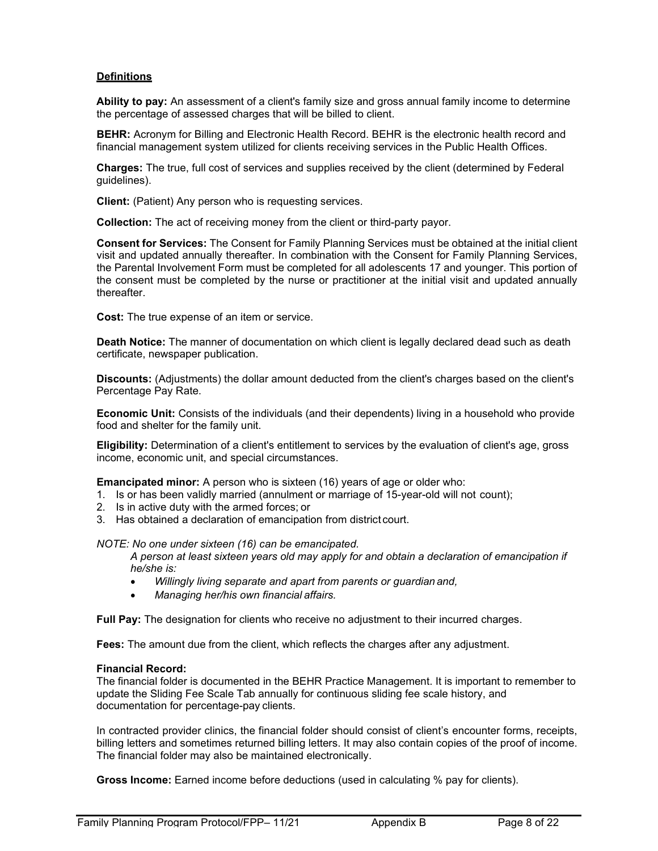#### **Definitions**

**Ability to pay:** An assessment of a client's family size and gross annual family income to determine the percentage of assessed charges that will be billed to client.

**BEHR:** Acronym for Billing and Electronic Health Record. BEHR is the electronic health record and financial management system utilized for clients receiving services in the Public Health Offices.

**Charges:** The true, full cost of services and supplies received by the client (determined by Federal guidelines).

**Client:** (Patient) Any person who is requesting services.

**Collection:** The act of receiving money from the client or third-party payor.

**Consent for Services:** The Consent for Family Planning Services must be obtained at the initial client visit and updated annually thereafter. In combination with the Consent for Family Planning Services, the Parental Involvement Form must be completed for all adolescents 17 and younger. This portion of the consent must be completed by the nurse or practitioner at the initial visit and updated annually thereafter.

**Cost:** The true expense of an item or service.

**Death Notice:** The manner of documentation on which client is legally declared dead such as death certificate, newspaper publication.

**Discounts:** (Adjustments) the dollar amount deducted from the client's charges based on the client's Percentage Pay Rate.

**Economic Unit:** Consists of the individuals (and their dependents) living in a household who provide food and shelter for the family unit.

**Eligibility:** Determination of a client's entitlement to services by the evaluation of client's age, gross income, economic unit, and special circumstances.

**Emancipated minor:** A person who is sixteen (16) years of age or older who:

- 1. Is or has been validly married (annulment or marriage of 15-year-old will not count);
- 2. Is in active duty with the armed forces; or
- 3. Has obtained a declaration of emancipation from district court.

*NOTE: No one under sixteen (16) can be emancipated.*

*A person at least sixteen years old may apply for and obtain a declaration of emancipation if he/she is:*

- *Willingly living separate and apart from parents or guardian and,*
- *Managing her/his own financial affairs.*

**Full Pay:** The designation for clients who receive no adjustment to their incurred charges.

**Fees:** The amount due from the client, which reflects the charges after any adjustment.

#### **Financial Record:**

The financial folder is documented in the BEHR Practice Management. It is important to remember to update the Sliding Fee Scale Tab annually for continuous sliding fee scale history, and documentation for percentage-pay clients.

In contracted provider clinics, the financial folder should consist of client's encounter forms, receipts, billing letters and sometimes returned billing letters. It may also contain copies of the proof of income. The financial folder may also be maintained electronically.

**Gross Income:** Earned income before deductions (used in calculating % pay for clients).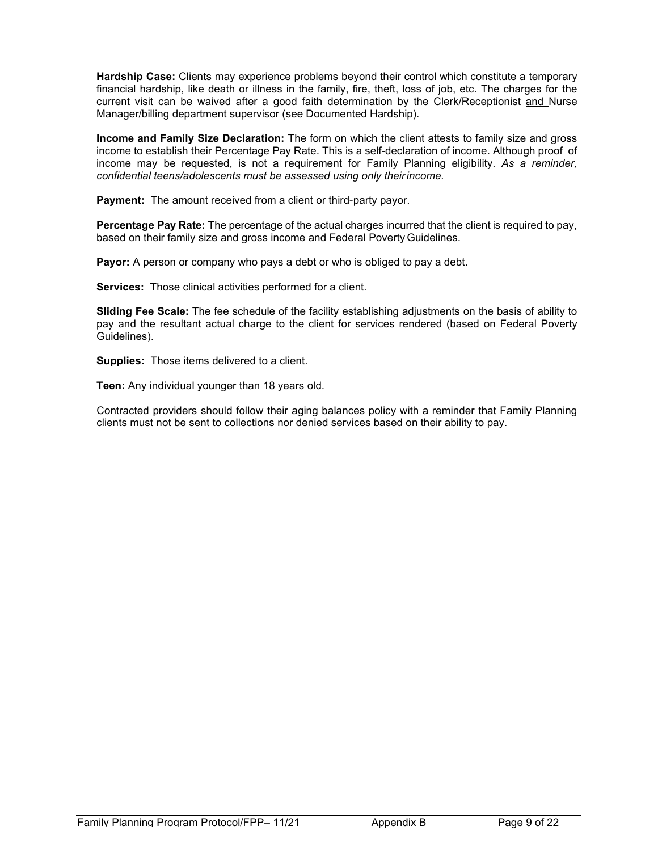**Hardship Case:** Clients may experience problems beyond their control which constitute a temporary financial hardship, like death or illness in the family, fire, theft, loss of job, etc. The charges for the current visit can be waived after a good faith determination by the Clerk/Receptionist and Nurse Manager/billing department supervisor (see Documented Hardship).

**Income and Family Size Declaration:** The form on which the client attests to family size and gross income to establish their Percentage Pay Rate. This is a self-declaration of income. Although proof of income may be requested, is not a requirement for Family Planning eligibility. *As a reminder, confidential teens/adolescents must be assessed using only theirincome.*

**Payment:** The amount received from a client or third-party payor.

**Percentage Pay Rate:** The percentage of the actual charges incurred that the client is required to pay, based on their family size and gross income and Federal Poverty Guidelines.

**Payor:** A person or company who pays a debt or who is obliged to pay a debt.

**Services:** Those clinical activities performed for a client.

**Sliding Fee Scale:** The fee schedule of the facility establishing adjustments on the basis of ability to pay and the resultant actual charge to the client for services rendered (based on Federal Poverty Guidelines).

**Supplies:** Those items delivered to a client.

**Teen:** Any individual younger than 18 years old.

Contracted providers should follow their aging balances policy with a reminder that Family Planning clients must not be sent to collections nor denied services based on their ability to pay.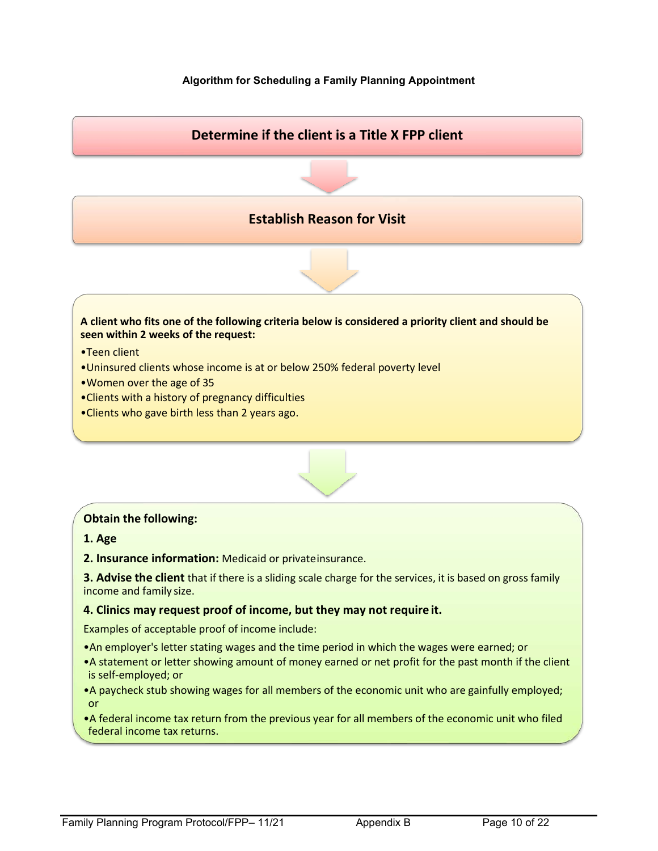# **Algorithm for Scheduling a Family Planning Appointment**



# **Obtain the following:**

**1. Age**

**2. Insurance information:** Medicaid or privateinsurance.

**3. Advise the client** that if there is a sliding scale charge for the services, it is based on gross family income and family size.

# **4. Clinics may request proof of income, but they may not require it.**

Examples of acceptable proof of income include:

- •An employer's letter stating wages and the time period in which the wages were earned; or
- •A statement or letter showing amount of money earned or net profit for the past month if the client is self-employed; or
- •A paycheck stub showing wages for all members of the economic unit who are gainfully employed; or
- •A federal income tax return from the previous year for all members of the economic unit who filed federal income tax returns.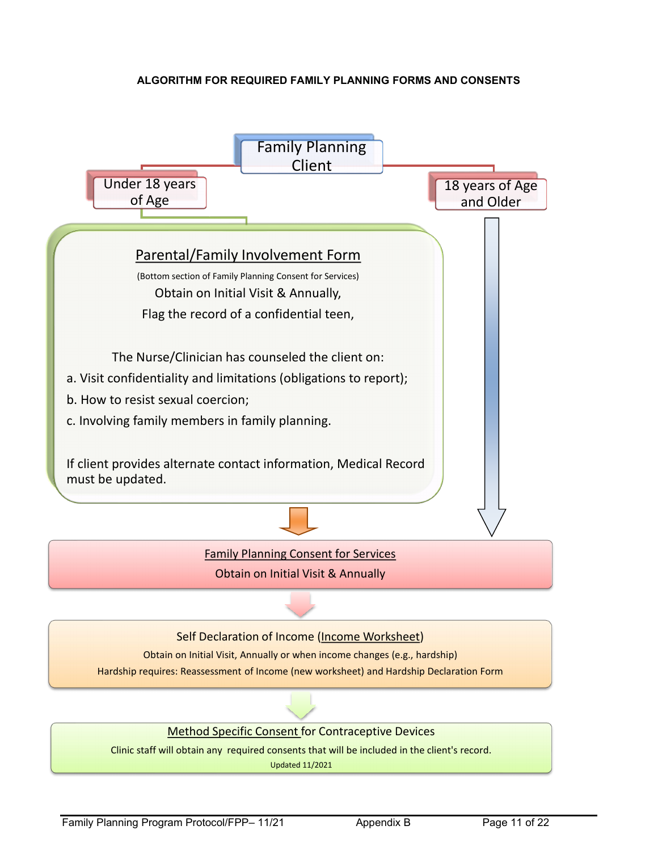# **ALGORITHM FOR REQUIRED FAMILY PLANNING FORMS AND CONSENTS**

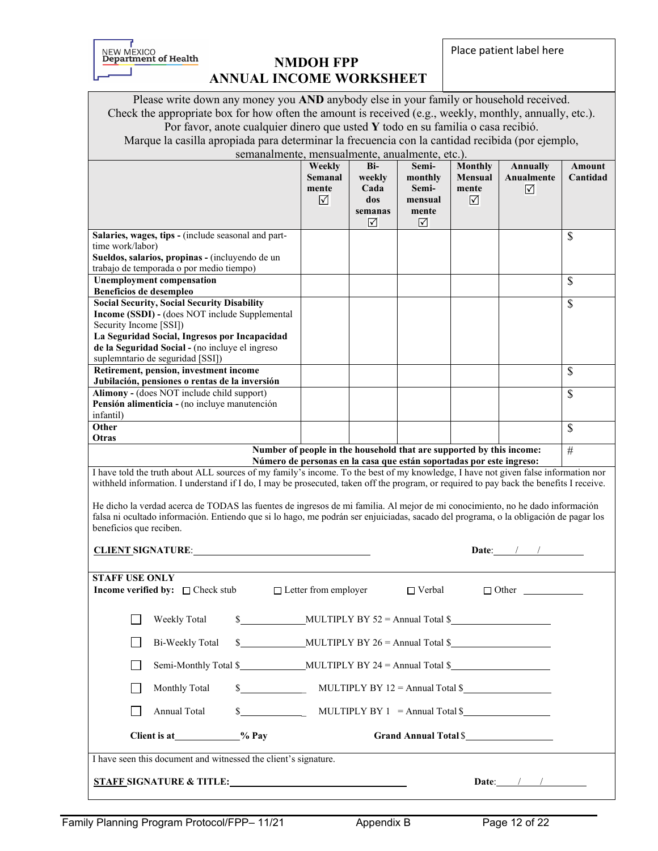NEW MEXICO<br> **Department of Health**<br> **NMDOH FPP** 

# **ANNUAL INCOME WORKSHEET**

Place patient label here

Please write down any money you **AND** anybody else in your family or household received.

Check the appropriate box for how often the amount is received (e.g., weekly, monthly, annually, etc.). Por favor, anote cualquier dinero que usted **Y** todo en su familia o casa recibió.

Marque la casilla apropiada para determinar la frecuencia con la cantidad recibida (por ejemplo,

semanalmente, mensualmente, anualmente, etc.).

|                                                                                                                                                                                                                                                                                                                                                                                                                                                                                                                                                                                                      | Weekly<br><b>Semanal</b><br>mente<br>☑                | Bi-<br>weekly<br>Cada<br>dos | Semi-<br>monthly<br>Semi-<br>mensual                                                                                                         | <b>Monthly</b><br>Mensual<br>mente<br>☑ | Annually<br>Anualmente<br>☑ | Amount<br>Cantidad |  |
|------------------------------------------------------------------------------------------------------------------------------------------------------------------------------------------------------------------------------------------------------------------------------------------------------------------------------------------------------------------------------------------------------------------------------------------------------------------------------------------------------------------------------------------------------------------------------------------------------|-------------------------------------------------------|------------------------------|----------------------------------------------------------------------------------------------------------------------------------------------|-----------------------------------------|-----------------------------|--------------------|--|
|                                                                                                                                                                                                                                                                                                                                                                                                                                                                                                                                                                                                      |                                                       | semanas<br>☑                 | mente<br>☑                                                                                                                                   |                                         |                             |                    |  |
| Salaries, wages, tips - (include seasonal and part-<br>time work/labor)<br>Sueldos, salarios, propinas - (incluyendo de un                                                                                                                                                                                                                                                                                                                                                                                                                                                                           |                                                       |                              |                                                                                                                                              |                                         |                             | \$                 |  |
| trabajo de temporada o por medio tiempo)                                                                                                                                                                                                                                                                                                                                                                                                                                                                                                                                                             |                                                       |                              |                                                                                                                                              |                                         |                             |                    |  |
| <b>Unemployment compensation</b><br>Beneficios de desempleo                                                                                                                                                                                                                                                                                                                                                                                                                                                                                                                                          |                                                       |                              |                                                                                                                                              |                                         |                             | \$                 |  |
| <b>Social Security, Social Security Disability</b><br>Income (SSDI) - (does NOT include Supplemental<br>Security Income [SSI])<br>La Seguridad Social, Ingresos por Incapacidad<br>de la Seguridad Social - (no incluye el ingreso<br>suplemntario de seguridad [SSI])                                                                                                                                                                                                                                                                                                                               |                                                       |                              |                                                                                                                                              |                                         |                             | \$                 |  |
| Retirement, pension, investment income                                                                                                                                                                                                                                                                                                                                                                                                                                                                                                                                                               |                                                       |                              |                                                                                                                                              |                                         |                             | \$                 |  |
| Jubilación, pensiones o rentas de la inversión<br>Alimony - (does NOT include child support)<br>Pensión alimenticia - (no incluye manutención<br>infantil)                                                                                                                                                                                                                                                                                                                                                                                                                                           |                                                       |                              |                                                                                                                                              |                                         |                             | \$                 |  |
| Other<br>Otras                                                                                                                                                                                                                                                                                                                                                                                                                                                                                                                                                                                       |                                                       |                              |                                                                                                                                              |                                         |                             | \$                 |  |
|                                                                                                                                                                                                                                                                                                                                                                                                                                                                                                                                                                                                      |                                                       |                              | Number of people in the household that are supported by this income:<br>Número de personas en la casa que están soportadas por este ingreso: |                                         |                             | #                  |  |
| I have told the truth about ALL sources of my family's income. To the best of my knowledge, I have not given false information nor<br>withheld information. I understand if I do, I may be prosecuted, taken off the program, or required to pay back the benefits I receive.<br>He dicho la verdad acerca de TODAS las fuentes de ingresos de mi familia. Al mejor de mi conocimiento, no he dado información<br>falsa ni ocultado información. Entiendo que si lo hago, me podrán ser enjuiciadas, sacado del programa, o la obligación de pagar los<br>beneficios que reciben.<br>Date: $/$ / $/$ |                                                       |                              |                                                                                                                                              |                                         |                             |                    |  |
| <b>STAFF USE ONLY</b><br><b>Income verified by:</b> $\Box$ Check stub                                                                                                                                                                                                                                                                                                                                                                                                                                                                                                                                | $\Box$ Letter from employer                           |                              | $\Box$ Verbal                                                                                                                                |                                         | $\Box$ Other                |                    |  |
| $$$ MULTIPLY BY 52 = Annual Total $$$<br>Weekly Total                                                                                                                                                                                                                                                                                                                                                                                                                                                                                                                                                |                                                       |                              |                                                                                                                                              |                                         |                             |                    |  |
|                                                                                                                                                                                                                                                                                                                                                                                                                                                                                                                                                                                                      |                                                       |                              |                                                                                                                                              |                                         |                             |                    |  |
|                                                                                                                                                                                                                                                                                                                                                                                                                                                                                                                                                                                                      |                                                       |                              |                                                                                                                                              |                                         |                             |                    |  |
| Monthly Total                                                                                                                                                                                                                                                                                                                                                                                                                                                                                                                                                                                        | $\frac{\sqrt{2}}{2}$ MULTIPLY BY 12 = Annual Total \$ |                              |                                                                                                                                              |                                         |                             |                    |  |
| $$$ MULTIPLY BY 1 = Annual Total \$<br>Annual Total                                                                                                                                                                                                                                                                                                                                                                                                                                                                                                                                                  |                                                       |                              |                                                                                                                                              |                                         |                             |                    |  |
| Client is at____________% Pay<br>Grand Annual Total \$                                                                                                                                                                                                                                                                                                                                                                                                                                                                                                                                               |                                                       |                              |                                                                                                                                              |                                         |                             |                    |  |
| I have seen this document and witnessed the client's signature.                                                                                                                                                                                                                                                                                                                                                                                                                                                                                                                                      |                                                       |                              |                                                                                                                                              |                                         | Date: $\sqrt{1 + 1}$        |                    |  |
|                                                                                                                                                                                                                                                                                                                                                                                                                                                                                                                                                                                                      |                                                       |                              |                                                                                                                                              |                                         |                             |                    |  |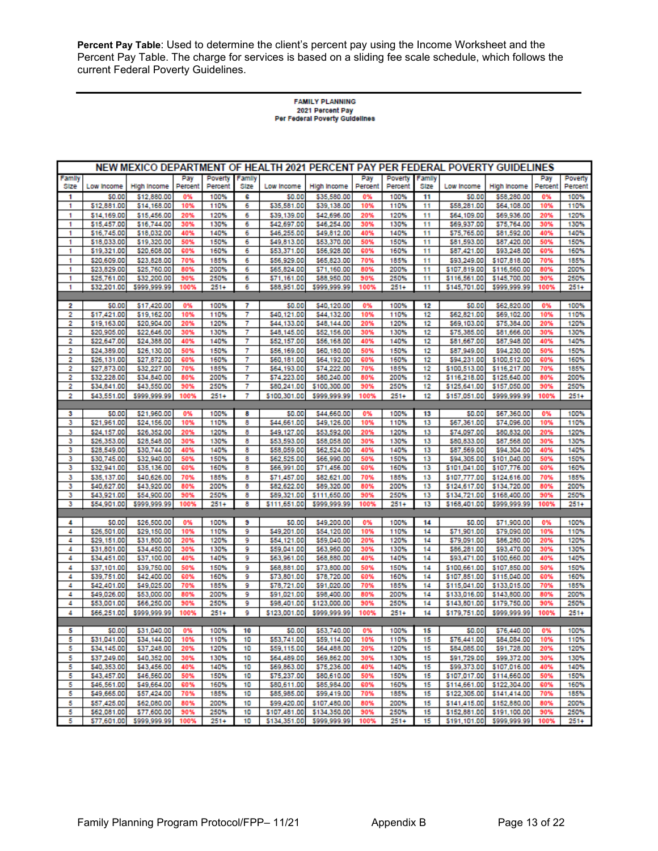**Percent Pay Table**: Used to determine the client's percent pay using the Income Worksheet and the Percent Pay Table. The charge for services is based on a sliding fee scale schedule, which follows the current Federal Poverty Guidelines.

# **FAMILY PLANNING** 2021 Percent Pay<br>Per Federal Poverty Guidelines

|        |                            |                             |            |                 |          |                            | NEW MEXICO DEPARTMENT OF HEALTH 2021 PERCENT PAY PER FEDERAL POVERTY GUIDELINES |            |                 |          |                              |                                         |            |                 |
|--------|----------------------------|-----------------------------|------------|-----------------|----------|----------------------------|---------------------------------------------------------------------------------|------------|-----------------|----------|------------------------------|-----------------------------------------|------------|-----------------|
| Family |                            |                             | Pay        | Poverty         | Family   |                            |                                                                                 | Pay        | Poverty         | Family   |                              |                                         | Pay        | Poverty         |
| Size   | Low Income                 | High Income<br>\$12,880.00  | Percent    | Percent<br>100% | Size     | Low Income                 | High income                                                                     | Percent    | Percent<br>100% | Size     | Low Income<br>\$0.00         | High Income                             | Percent    | Percent<br>100% |
| 1<br>1 | 50.00<br>\$12,881.00       | \$14,168.00                 | 0%<br>10%  | 110%            | 6<br>6   | \$0.00<br>\$35,581.00      | \$35,580.00<br>\$39,138.00                                                      | 0%<br>10%  | 110%            | 11<br>11 | \$58,281.00                  | \$58,280.00<br>\$64,108.00              | 0%<br>10%  | 110%            |
| 1      | \$14,169.00                | \$15,456.00                 | 20%        | 120%            | 6        | \$39,139.00                | \$42,696.00                                                                     | 20%        | 120%            | 11       | \$64,109.00                  | \$69,936.00                             | 20%        | 120%            |
| 1      | \$15,457.00                | \$16,744.00                 | 30%        | 130%            | 6        | \$42,697.00                | \$46,254.00                                                                     | 30%        | 130%            | 11       | \$69,937.00                  | \$75,764.00                             | 30%        | 130%            |
| 1      | \$16,745.00                | \$18,032.00                 | 40%        | 140%            | 6        | \$46,255.00                | \$49,812.00                                                                     | 40%        | 140%            | 11       | \$75,765.00                  | \$81,592.00                             | 40%        | 140%            |
| 1      | \$18,033.00                | \$19,320.00                 | 50%        | 150%            | 6        | \$49,813.00                | \$53,370.00                                                                     | 50%        | 150%            | 11       | \$81,593.00                  | \$87,420.00                             | 50%        | 150%            |
| 1      | \$19,321.00                | \$20,608.00                 | 60%        | 160%            | 6        | \$53,371.00                | \$56,928.00                                                                     | 60%        | 160%            | 11       | \$87,421.00                  | \$93,248.00                             | 60%        | 160%            |
| 1<br>1 | \$20,609.00<br>\$23,829.00 | \$23,828.00<br>\$25,760.00  | 70%<br>80% | 185%<br>200%    | 6<br>6   | \$56,929.00<br>\$65,824.00 | \$65,823.00<br>\$71,160.00                                                      | 70%<br>80% | 185%<br>200%    | 11<br>11 | \$93,249.00<br>\$107,819.00  | \$107,818.00<br>\$116,560.00            | 70%<br>80% | 185%<br>200%    |
| 1      | \$25,761.00                | \$32,200.00                 | 90%        | 250%            | 6        | \$71,161.00                | \$88,950.00                                                                     | 90%        | 250%            | 11       | \$116,561.00                 | \$145,700.00                            | 90%        | 250%            |
| 1      | \$32,201.00                | \$999,999.99                | 100%       | $251+$          | 6        | \$88,951.00                | \$999,999.99                                                                    | 100%       | $251+$          | 11       | \$145,701.00                 | \$999,999.99                            | 100%       | $251+$          |
|        |                            |                             |            |                 |          |                            |                                                                                 |            |                 |          |                              |                                         |            |                 |
| 2      | \$0.00                     | \$17,420.00                 | 0%         | 100%            | 7        | \$0.00                     | \$40,120.00                                                                     | 0%         | 100%            | 12       | \$0.00                       | \$62,820.00                             | 0%         | 100%            |
| 2      | \$17,421.00                | \$19,162.00                 | 10%        | 110%            | 7        | \$40,121.00                | \$44,132.00                                                                     | 10%        | 110%            | 12       | \$62,821.00                  | \$69,102.00                             | 10%        | 110%            |
| 2      | \$19,163.00                | \$20,904.00                 | 20%        | 120%            | 7        | \$44,133.00                | \$48,144.00                                                                     | 20%        | 120%            | 12       | \$69,103.00                  | \$75,384.00                             | 20%        | 120%            |
| 2<br>2 | \$20,905.00<br>\$22,647.00 | \$22,646.00<br>\$24,388.00  | 30%<br>40% | 130%<br>140%    | 7<br>7   | \$48,145.00<br>\$52,157.00 | \$52,156.00<br>\$56,168.00                                                      | 30%<br>40% | 130%<br>140%    | 12<br>12 | \$75,385.00<br>\$81,667.00   | \$81,666.00<br>\$87,948.00              | 30%<br>40% | 130%<br>140%    |
| 2      | \$24,389.00                | \$26,130.00                 | 50%        | 150%            | 7        | \$56,169.00                | \$60,180.00                                                                     | 50%        | 150%            | 12       | \$87,949.00                  | \$94,230.00                             | 50%        | 150%            |
| 2      | \$26,131.00                | \$27,872.00                 | 60%        | 160%            | 7        | \$60,181.00                | \$64,192.00                                                                     | 60%        | 160%            | 12       | \$94,231.00                  | \$100,512.00                            | 60%        | 160%            |
| 2      | \$27,873.00                | \$32,227.00                 | 70%        | 185%            | 7        | \$64,193.00                | \$74,222.00                                                                     | 70%        | 185%            | 12       | \$100,513.00                 | \$116,217.00                            | 70%        | 185%            |
| 2      | \$32,228.00                | \$34,840.00                 | 80%        | 200%            | 7        | \$74,223.00                | \$80,240.00                                                                     | 80%        | 200%            | 12       | \$116,218.00                 | \$125,640.00                            | 80%        | 200%            |
| 2      | \$34,841.00                | \$43,550.00                 | 90%        | 250%            | 7        | \$80,241.00                | \$100,300.00                                                                    | 90%        | 250%            | 12       | \$125,641.00                 | \$157,050.00                            | 90%        | 250%            |
| 2      | \$43,551.00                | \$999,999.99                | 100%       | 251+            | 7        | \$100,301.00               | \$999,999.99                                                                    | 100%       | $251+$          | 12       | \$157,051.00                 | \$999,999.99                            | 100%       | $251+$          |
|        |                            |                             |            |                 |          |                            |                                                                                 |            |                 |          |                              |                                         |            |                 |
| з      | \$0.00                     | \$21,960.00                 | 0%         | 100%            | 8        | \$0.00                     | \$44,660.00                                                                     | 0%         | 100%            | 13       | 50.00                        | \$67,360.00                             | 0%         | 100%            |
| з<br>з | \$21,961.00                | \$24,156.00<br>\$26,352.00  | 10%<br>20% | 110%<br>120%    | 8<br>8   | \$44,661.00<br>\$49,127.00 | \$49,126.00<br>\$53,592.00                                                      | 10%<br>20% | 110%<br>120%    | 13<br>13 | \$67,361.00<br>\$74.097.00   | \$74,096.00<br>\$80,832.00              | 10%<br>20% | 110%<br>120%    |
| з      | \$24,157.00<br>\$26,353.00 | \$28,548.00                 | 30%        | 130%            | 8        | \$53,593.00                | \$58,058.00                                                                     | 30%        | 130%            | 13       | \$80,833,00                  | \$87,568.00                             | 30%        | 130%            |
| з      | \$28,549.00                | \$30,744.00                 | 40%        | 140%            | 8        | \$58,059.00                | \$62,524.00                                                                     | 40%        | 140%            | 13       | \$87,569.00                  | \$94,304.00                             | 40%        | 140%            |
| з      | \$30,745.00                | \$32,940.00                 | 50%        | 150%            | 8        | \$62,525.00                | \$66,990.00                                                                     | 50%        | 150%            | 13       | \$94,305,00                  | \$101,040.00                            | 50%        | 150%            |
| з      | \$32,941.00                | \$35,136.00                 | 60%        | 160%            | 8        | \$66,991.00                | \$71,456.00                                                                     | 60%        | 160%            | 13       | \$101,041.00                 | \$107,776.00                            | 60%        | 160%            |
| з      | \$35,137.00                | \$40,626.00                 | 70%        | 185%            | 8        | \$71,457.00                | \$82,621.00                                                                     | 70%        | 185%            | 13       | \$107,777.00                 | \$124,616.00                            | 70%        | 185%            |
| з      | \$40,627.00                | \$43,920.00                 | 80%        | 200%            | 8        | \$82,622.00                | \$89,320.00                                                                     | 80%        | 200%            | 13       | \$124,617.00                 | \$134,720.00                            | 80%        | 200%            |
| з      | \$43,921.00<br>\$54,901.00 | \$54,900.00<br>\$999,999.99 | 90%        | 250%            | 8<br>8   | \$89,321.00                | \$111,650.00<br>\$999,999.99                                                    | 90%        | 250%            | 13<br>13 | \$134,721.00                 | \$168,400.00<br>\$999,999.99            | 90%        | 250%<br>$251+$  |
| з      |                            |                             | 100%       | $251+$          |          | \$111,651.00               |                                                                                 | 100%       | $251+$          |          | \$168,401.00                 |                                         | 100%       |                 |
| 4      | \$0.00                     | \$26,500.00                 | 0%         | 100%            | э        | \$0.00                     | \$49,200.00                                                                     | 0%         | 100%            | 14       | 50.00                        | \$71,900.00                             | 0%         | 100%            |
| 4      | \$26,501.00                | \$29,150.00                 | 10%        | 110%            | 9        | \$49,201.00                | \$54,120.00                                                                     | 10%        | 110%            | 14       | \$71,901.00                  | \$79,090.00                             | 10%        | 110%            |
| 4      | \$29,151.00                | \$31,800.00                 | 20%        | 120%            | 9        | \$54,121.00                | \$59,040.00                                                                     | 20%        | 120%            | 14       | \$79,091.00                  | \$86,280.00                             | 20%        | 120%            |
| 4      | \$31,801.00                | \$34,450.00                 | 30%        | 130%            | 9        | \$59,041.00                | \$63,960.00                                                                     | 30%        | 130%            | 14       | \$86,281.00                  | \$93,470.00                             | 30%        | 130%            |
| 4      | \$34,451.00                | \$37,100.00                 | 40%        | 140%            | 9        | \$63,961.00                | \$68,880.00                                                                     | 40%        | 140%            | 14       | \$93,471.00                  | \$100,660.00                            | 40%        | 140%            |
| 4      | \$37,101.00                | \$39,750.00                 | 50%        | 150%            | 9        | \$68,881.00                | \$73,800.00                                                                     | 50%        | 150%            | 14       | \$100,661.00                 | \$107,850.00                            | 50%        | 150%            |
| 4<br>4 | \$39,751.00<br>\$42,401.00 | \$42,400.00<br>\$49,025.00  | 60%<br>70% | 160%<br>185%    | 9<br>9   | \$73,801.00<br>\$78,721.00 | \$78,720.00<br>\$91,020.00                                                      | 60%<br>70% | 160%<br>185%    | 14<br>14 | \$107,851.00<br>\$115,041.00 | \$115,040.00<br>\$133,015.00            | 60%<br>70% | 160%<br>185%    |
| 4      | \$49,026.00                | \$53,000.00                 | 80%        | 200%            | 9        | \$91,021.00                | \$98,400.00                                                                     | 80%        | 200%            | 14       | \$133,016.00                 | \$143,800.00                            | 80%        | 200%            |
| 4      | \$53,001.00                | \$66,250.00                 | 90%        | 250%            | 9        | \$98,401.00                | \$123,000.00                                                                    | 90%        | 250%            | 14       | \$143,801.00                 | \$179,750.00                            | 90%        | 250%            |
| 4      | \$66,251.00                | \$999,999.99                | 100%       | $251+$          | 9        | \$123,001.00               | \$999,999.99                                                                    | 100%       | $251+$          | 14       | \$179,751.00                 | \$999,999.99                            | 100%       | $251+$          |
|        |                            |                             |            |                 |          |                            |                                                                                 |            |                 |          |                              |                                         |            |                 |
| 5      | \$0.00                     | \$31,040.00                 | 0%         | 100%            | 10       | \$0.00                     | \$53,740.00                                                                     | 0%         | 100%            | 15       | \$0.00                       | \$76,440.00                             | 0%         | 100%            |
| 5      | \$31,041.00                | \$34,144.00                 | 10%        | 110%            | 10       | \$53,741.00                | \$59,114.00                                                                     | 10%        | 110%            | 15       | \$76,441.00                  | \$84,084.00                             | 10%        | 110%            |
| 5      | \$34,145.00                | \$37,248.00                 | 20%        | 120%            | 10       | \$59,115.00                | \$64,488.00                                                                     | 20%        | 120%            | 15       | \$84,085.00                  | \$91,728.00                             | 20%        | 120%            |
| 5<br>5 | \$37,249.00<br>\$40,353.00 | \$40,352.00<br>\$43,456.00  | 30%<br>40% | 130%<br>140%    | 10<br>10 | \$64,489.00<br>\$69,863.00 | \$69,862.00<br>\$75,236.00                                                      | 30%<br>40% | 130%<br>140%    | 15<br>15 | \$91,729.00                  | \$99,372.00<br>\$99,373.00 \$107,016.00 | 30%<br>40% | 130%<br>140%    |
| 5      | \$43,457.00                | \$46,560.00                 | 50%        | 150%            | 10       | \$75,237.00                | \$80,610.00                                                                     | 50%        | 150%            | 15       | \$107,017.00                 | \$114,660.00                            | 50%        | 150%            |
| 5      | \$46,561.00                | \$49,664.00                 | 60%        | 160%            | 10       | \$80,611.00                | \$85,984.00                                                                     | 60%        | 160%            | 15       | \$114,661.00                 | \$122,304.00                            | 60%        | 160%            |
| 5      | \$49,665.00                | \$57,424.00                 | 70%        | 185%            | 10       | \$85,985.00                | \$99,419.00                                                                     | 70%        | 185%            | 15       | \$122,305.00                 | \$141,414.00                            | 70%        | 185%            |
| 5      | \$57,425.00                | \$62,080.00                 | 80%        | 200%            | 10       | \$99,420.00                | \$107,480.00                                                                    | 80%        | 200%            | 15       | \$141,415.00                 | \$152,880.00                            | 80%        | 200%            |
| 5      | \$62,081.00                | \$77,600.00                 | 90%        | 250%            | 10       | \$107,481.00               | \$134,350.00                                                                    | 90%        | 250%            | 15       | \$152,881.00                 | \$191,100.00                            | 90%        | 250%            |
| 5      | \$77,601.00                | \$999,999.99                | 100%       | $251 +$         | 10       | \$134,351.00               | \$999,999.99                                                                    | 100%       | $251 +$         | 15       | \$191,101.00                 | \$999,999.99                            | 100%       | $251+$          |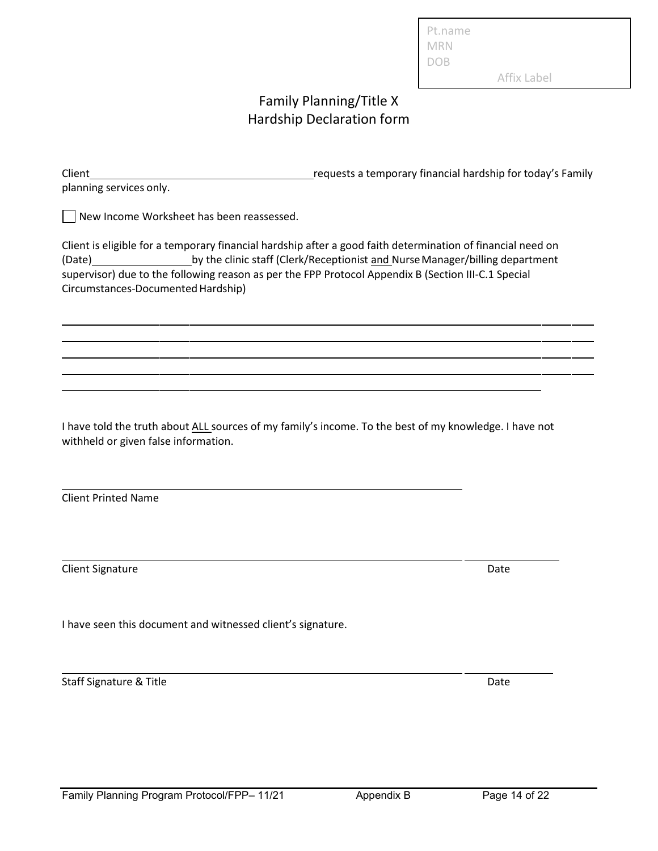| Pt.name         |  |
|-----------------|--|
| MRN             |  |
| D <sub>OB</sub> |  |

Affix Label

# Family Planning/Title X Hardship Declaration form

| Client                  | requests a temporary financial hardship for today's Family |
|-------------------------|------------------------------------------------------------|
| planning services only. |                                                            |

New Income Worksheet has been reassessed.

Client is eligible for a temporary financial hardship after a good faith determination of financial need on (Date) by the clinic staff (Clerk/Receptionist and NurseManager/billing department supervisor) due to the following reason as per the FPP Protocol Appendix B (Section III-C.1 Special Circumstances-Documented Hardship)

I have told the truth about ALL sources of my family's income. To the best of my knowledge. I have not withheld or given false information.

Client Printed Name

Client Signature Date Client Signature Date Date Client Signature Date Date

I have seen this document and witnessed client's signature.

Staff Signature & Title Date Date Date Date Date Date Date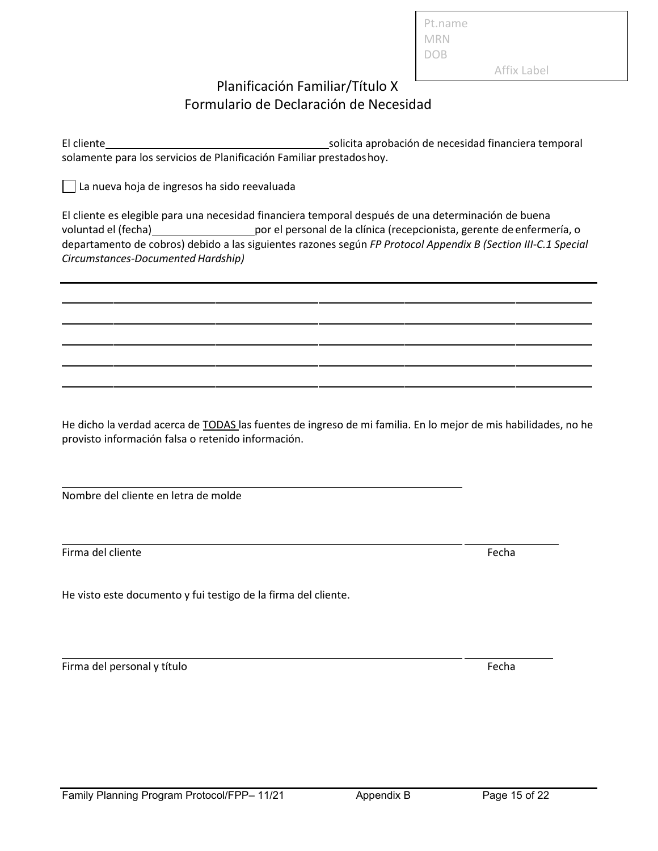Planificación Familiar/Título X Formulario de Declaración de Necesidad

El cliente solicita aprobación de necesidad financiera temporal solamente para los servicios de Planificación Familiar prestadoshoy.

Pt.name MRN DOB

Affix Label

La nueva hoja de ingresos ha sido reevaluada

El cliente es elegible para una necesidad financiera temporal después de una determinación de buena voluntad el (fecha) por el personal de la clínica (recepcionista, gerente de enfermería, o departamento de cobros) debido a las siguientes razones según *FP Protocol Appendix B (Section III-C.1 Special Circumstances-Documented Hardship)*

He dicho la verdad acerca de TODAS las fuentes de ingreso de mi familia. En lo mejor de mis habilidades, no he provisto información falsa o retenido información.

Nombre del cliente en letra de molde

Firma del cliente Fecha

He visto este documento y fui testigo de la firma del cliente.

Firma del personal y título estadounidade en el seu entre en el estadounidad en el estadounidad en el estadounidad en el estadounidad en el estadounidad en el estadounidad en el estadounidad en el estadounidad en el estado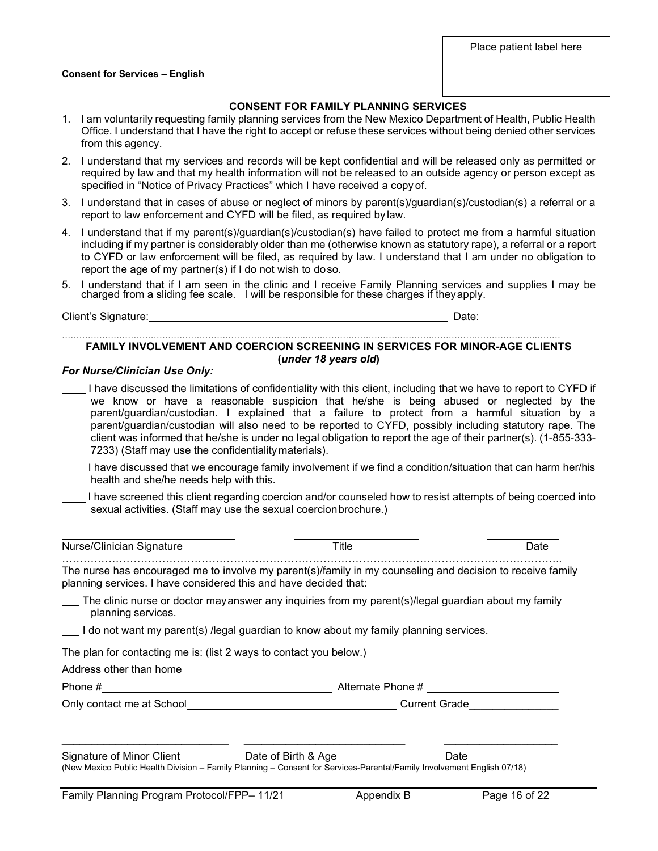#### **Consent for Services – English**

#### **CONSENT FOR FAMILY PLANNING SERVICES**

- 1. I am voluntarily requesting family planning services from the New Mexico Department of Health, Public Health Office. I understand that I have the right to accept or refuse these services without being denied other services from this agency.
- 2. I understand that my services and records will be kept confidential and will be released only as permitted or required by law and that my health information will not be released to an outside agency or person except as specified in "Notice of Privacy Practices" which I have received a copy of.
- 3. I understand that in cases of abuse or neglect of minors by parent(s)/guardian(s)/custodian(s) a referral or a report to law enforcement and CYFD will be filed, as required by law.
- 4. I understand that if my parent(s)/guardian(s)/custodian(s) have failed to protect me from a harmful situation including if my partner is considerably older than me (otherwise known as statutory rape), a referral or a report to CYFD or law enforcement will be filed, as required by law. I understand that I am under no obligation to report the age of my partner(s) if I do not wish to doso.
- 5. I understand that if I am seen in the clinic and I receive Family Planning services and supplies I may be charged from a sliding fee scale. I will be responsible for these charges if theyapply.

Client's Signature: Date:

#### ………………………………………………………………………………………………………………………………………………………… **FAMILY INVOLVEMENT AND COERCION SCREENING IN SERVICES FOR MINOR-AGE CLIENTS (***under 18 years old***)**

#### *For Nurse/Clinician Use Only:*

- I have discussed the limitations of confidentiality with this client, including that we have to report to CYFD if we know or have a reasonable suspicion that he/she is being abused or neglected by the parent/guardian/custodian. I explained that a failure to protect from a harmful situation by a parent/guardian/custodian will also need to be reported to CYFD, possibly including statutory rape. The client was informed that he/she is under no legal obligation to report the age of their partner(s). (1-855-333- 7233) (Staff may use the confidentiality materials).
- I have discussed that we encourage family involvement if we find a condition/situation that can harm her/his health and she/he needs help with this.
- I have screened this client regarding coercion and/or counseled how to resist attempts of being coerced into sexual activities. (Staff may use the sexual coercionbrochure.)

|  | Nurse/Clinician Signature | itle | Jate |
|--|---------------------------|------|------|
|--|---------------------------|------|------|

The nurse has encouraged me to involve my parent(s)/family in my counseling and decision to receive family planning services. I have considered this and have decided that:

The clinic nurse or doctor mayanswer any inquiries from my parent(s)/legal guardian about my family planning services.

I do not want my parent(s) /legal guardian to know about my family planning services.

The plan for contacting me is: (list 2 ways to contact you below.)

Address other than home

Phone # Alternate Phone # Alternate Phone # Alternate Phone # Alternate Phone # Alternate Phone # Alternate Phone # Alternate Phone # Alternate Phone # Alternate Phone # Alternate Phone # Alternate Phone # Alternate Phone

Only contact me at School entitled and current Grade

| Signature of Minor Client | Date of Birth & Age | Date |
|---------------------------|---------------------|------|

(New Mexico Public Health Division – Family Planning – Consent for Services-Parental/Family Involvement English 07/18)

\_\_\_\_\_\_\_\_\_\_\_\_\_\_\_\_\_\_\_\_\_\_\_\_\_\_\_\_ \_\_\_\_\_\_\_\_\_\_\_\_\_\_\_\_\_\_\_\_\_\_\_\_\_\_\_ \_\_\_\_\_\_\_\_\_\_\_\_\_\_\_\_\_\_\_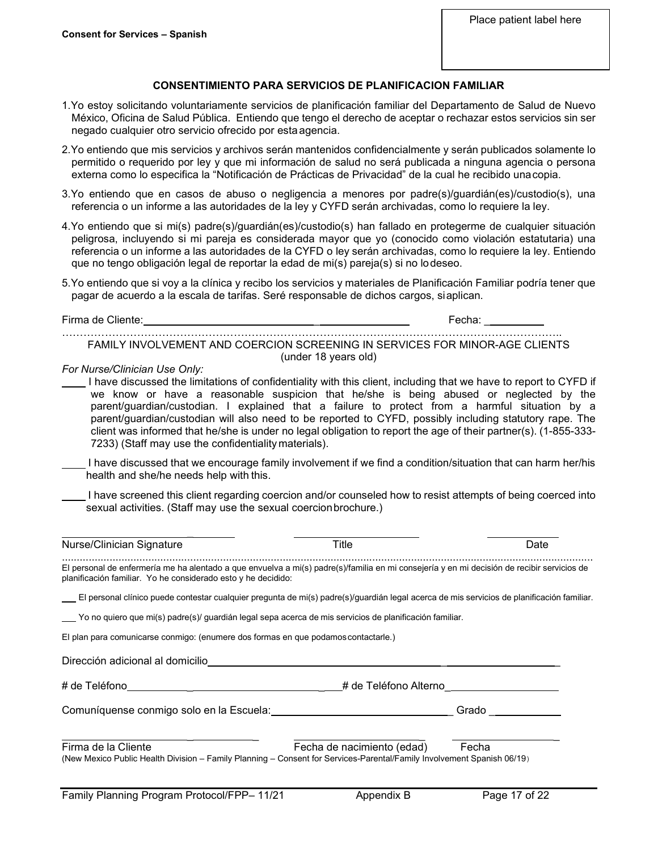#### **CONSENTIMIENTO PARA SERVICIOS DE PLANIFICACION FAMILIAR**

- 1.Yo estoy solicitando voluntariamente servicios de planificación familiar del Departamento de Salud de Nuevo México, Oficina de Salud Pública. Entiendo que tengo el derecho de aceptar o rechazar estos servicios sin ser negado cualquier otro servicio ofrecido por esta agencia.
- 2.Yo entiendo que mis servicios y archivos serán mantenidos confidencialmente y serán publicados solamente lo permitido o requerido por ley y que mi información de salud no será publicada a ninguna agencia o persona externa como lo especifica la "Notificación de Prácticas de Privacidad" de la cual he recibido unacopia.
- 3.Yo entiendo que en casos de abuso o negligencia a menores por padre(s)/guardián(es)/custodio(s), una referencia o un informe a las autoridades de la ley y CYFD serán archivadas, como lo requiere la ley.
- 4.Yo entiendo que si mi(s) padre(s)/guardián(es)/custodio(s) han fallado en protegerme de cualquier situación peligrosa, incluyendo si mi pareja es considerada mayor que yo (conocido como violación estatutaria) una referencia o un informe a las autoridades de la CYFD o ley serán archivadas, como lo requiere la ley. Entiendo que no tengo obligación legal de reportar la edad de mi(s) pareja(s) si no lodeseo.
- 5.Yo entiendo que si voy a la clínica y recibo los servicios y materiales de Planificación Familiar podría tener que pagar de acuerdo a la escala de tarifas. Seré responsable de dichos cargos, siaplican.

Firma de Cliente: \_ Fecha: \_

………………………………………………………………………………………………………………………….. FAMILY INVOLVEMENT AND COERCION SCREENING IN SERVICES FOR MINOR-AGE CLIENTS (under 18 years old)

*For Nurse/Clinician Use Only:*

- I have discussed the limitations of confidentiality with this client, including that we have to report to CYFD if we know or have a reasonable suspicion that he/she is being abused or neglected by the parent/guardian/custodian. I explained that a failure to protect from a harmful situation by a parent/guardian/custodian will also need to be reported to CYFD, possibly including statutory rape. The client was informed that he/she is under no legal obligation to report the age of their partner(s). (1-855-333- 7233) (Staff may use the confidentiality materials).
- I have discussed that we encourage family involvement if we find a condition/situation that can harm her/his health and she/he needs help with this.

 I have screened this client regarding coercion and/or counseled how to resist attempts of being coerced into sexual activities. (Staff may use the sexual coercion brochure.)

| Nurse/Clinician Signature                                                                                                                                                                                   | Title                      | Date          |
|-------------------------------------------------------------------------------------------------------------------------------------------------------------------------------------------------------------|----------------------------|---------------|
| El personal de enfermería me ha alentado a que envuelva a mi(s) padre(s)/familia en mi consejería y en mi decisión de recibir servicios de<br>planificación familiar. Yo he considerado esto y he decidido: |                            |               |
| El personal clínico puede contestar cualquier pregunta de mi(s) padre(s)/guardián legal acerca de mis servicios de planificación familiar.                                                                  |                            |               |
| . Yo no quiero que mi(s) padre(s)/ guardián legal sepa acerca de mis servicios de planificación familiar لــــ                                                                                              |                            |               |
| El plan para comunicarse conmigo: (enumere dos formas en que podamos contactarle.)                                                                                                                          |                            |               |
| Dirección adicional al domicilio                                                                                                                                                                            |                            |               |
|                                                                                                                                                                                                             | # de Teléfono Alterno      |               |
| Comuníquense conmigo solo en la Escuela:                                                                                                                                                                    |                            | Grado         |
| Firma de la Cliente<br>(New Mexico Public Health Division – Family Planning – Consent for Services-Parental/Family Involvement Spanish 06/19)                                                               | Fecha de nacimiento (edad) | Fecha         |
| Family Planning Program Protocol/FPP-11/21                                                                                                                                                                  | Appendix B                 | Page 17 of 22 |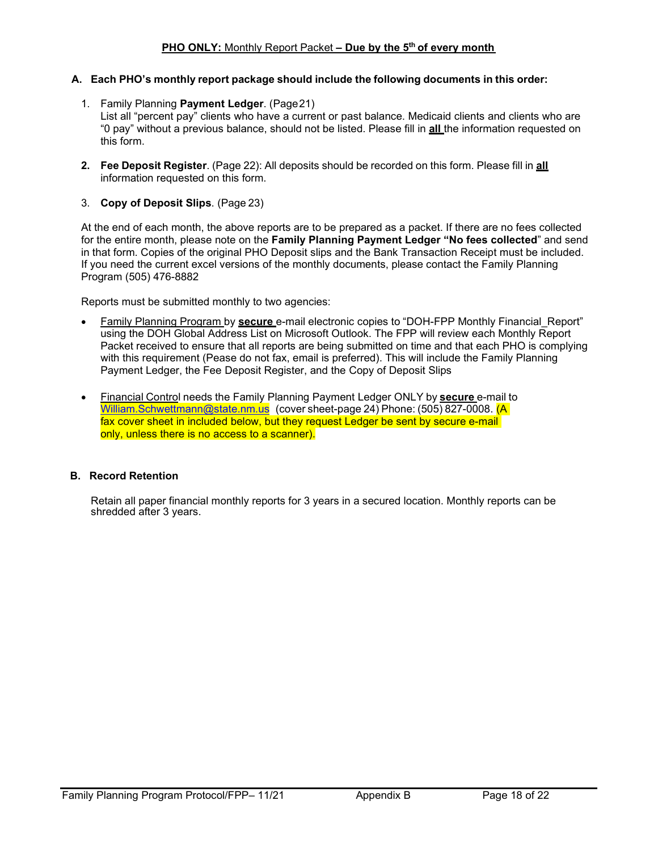#### **A. Each PHO's monthly report package should include the following documents in this order:**

- 1. Family Planning **Payment Ledger**. (Page21) List all "percent pay" clients who have a current or past balance. Medicaid clients and clients who are "0 pay" without a previous balance, should not be listed. Please fill in **all** the information requested on this form.
- **2. Fee Deposit Register**. (Page 22): All deposits should be recorded on this form. Please fill in **all** information requested on this form.
- 3. **Copy of Deposit Slips**. (Page 23)

At the end of each month, the above reports are to be prepared as a packet. If there are no fees collected for the entire month, please note on the **Family Planning Payment Ledger "No fees collected**" and send in that form. Copies of the original PHO Deposit slips and the Bank Transaction Receipt must be included. If you need the current excel versions of the monthly documents, please contact the Family Planning Program (505) 476-8882

Reports must be submitted monthly to two agencies:

- Family Planning Program by **secure** e-mail electronic copies to "DOH-FPP Monthly Financial\_Report" using the DOH Global Address List on Microsoft Outlook. The FPP will review each Monthly Report Packet received to ensure that all reports are being submitted on time and that each PHO is complying with this requirement (Pease do not fax, email is preferred). This will include the Family Planning Payment Ledger, the Fee Deposit Register, and the Copy of Deposit Slips
- Financial Control needs the Family Planning Payment Ledger ONLY by **secure** e-mail to [William.Schwettmann@state.nm.us](mailto:William.Schwettmann@state.nm.us) (cover sheet-page 24) Phone: (505) 827-0008. (A fax cover sheet in included below, but they request Ledger be sent by secure e-mail only, unless there is no access to a scanner).

#### **B. Record Retention**

Retain all paper financial monthly reports for 3 years in a secured location. Monthly reports can be shredded after 3 years.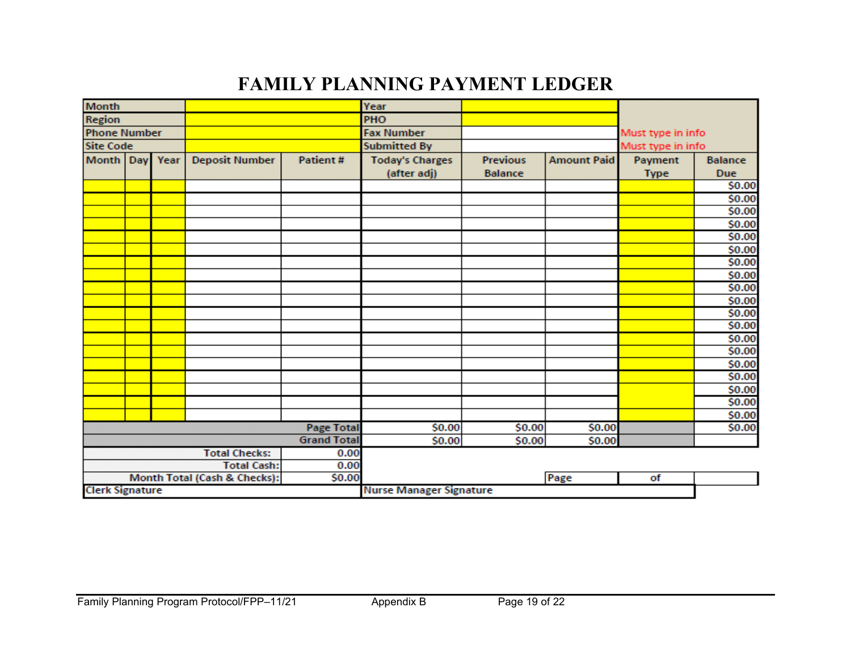# **FAMILY PLANNING PAYMENT LEDGER**

| <b>Month</b><br>Region     |  |  |                              |                    | Year                           |                 |                    |                   |                |
|----------------------------|--|--|------------------------------|--------------------|--------------------------------|-----------------|--------------------|-------------------|----------------|
|                            |  |  |                              |                    | PHO                            |                 |                    |                   |                |
| <b>Phone Number</b>        |  |  |                              |                    | <b>Fax Number</b>              |                 |                    | Must type in info |                |
| <b>Site Code</b>           |  |  |                              |                    | <b>Submitted By</b>            |                 | Must type in info  |                   |                |
| Month Day Year             |  |  | <b>Deposit Number</b>        | <b>Patient#</b>    | <b>Today's Charges</b>         | <b>Previous</b> | <b>Amount Paid</b> | Payment           | <b>Balance</b> |
|                            |  |  |                              |                    | (after adj)                    | <b>Balance</b>  |                    | <b>Type</b>       | <b>Due</b>     |
|                            |  |  |                              |                    |                                |                 |                    |                   | \$0.00         |
|                            |  |  |                              |                    |                                |                 |                    |                   | \$0.00         |
|                            |  |  |                              |                    |                                |                 |                    |                   | \$0.00         |
|                            |  |  |                              |                    |                                |                 |                    |                   | \$0.00         |
|                            |  |  |                              |                    |                                |                 |                    |                   | \$0.00         |
|                            |  |  |                              |                    |                                |                 |                    |                   | \$0.00         |
|                            |  |  |                              |                    |                                |                 |                    |                   | \$0.00         |
|                            |  |  |                              |                    |                                |                 |                    |                   | \$0.00         |
|                            |  |  |                              |                    |                                |                 |                    |                   | \$0.00         |
|                            |  |  |                              |                    |                                |                 |                    |                   | \$0.00         |
|                            |  |  |                              |                    |                                |                 |                    |                   | \$0.00         |
|                            |  |  |                              |                    |                                |                 |                    |                   | \$0.00         |
|                            |  |  |                              |                    |                                |                 |                    |                   | \$0.00         |
|                            |  |  |                              |                    |                                |                 |                    |                   | \$0.00         |
|                            |  |  |                              |                    |                                |                 |                    |                   | \$0.00         |
|                            |  |  |                              |                    |                                |                 |                    |                   | \$0.00         |
|                            |  |  |                              |                    |                                |                 |                    |                   | \$0.00         |
|                            |  |  |                              |                    |                                |                 |                    |                   | \$0.00         |
|                            |  |  |                              |                    |                                |                 |                    |                   | \$0.00         |
|                            |  |  |                              | <b>Page Total</b>  | \$0.00                         | \$0.00          | \$0.00             |                   | \$0.00         |
|                            |  |  |                              | <b>Grand Total</b> | \$0.00                         | \$0.00          | \$0.00             |                   |                |
|                            |  |  | <b>Total Checks:</b>         | 0.00               |                                |                 |                    |                   |                |
| <b>Total Cash:</b><br>0.00 |  |  |                              |                    |                                |                 |                    |                   |                |
|                            |  |  | Month Total (Cash & Checks): | \$0.00             |                                |                 | Page               | of                |                |
| <b>Clerk Signature</b>     |  |  |                              |                    | <b>Nurse Manager Signature</b> |                 |                    |                   |                |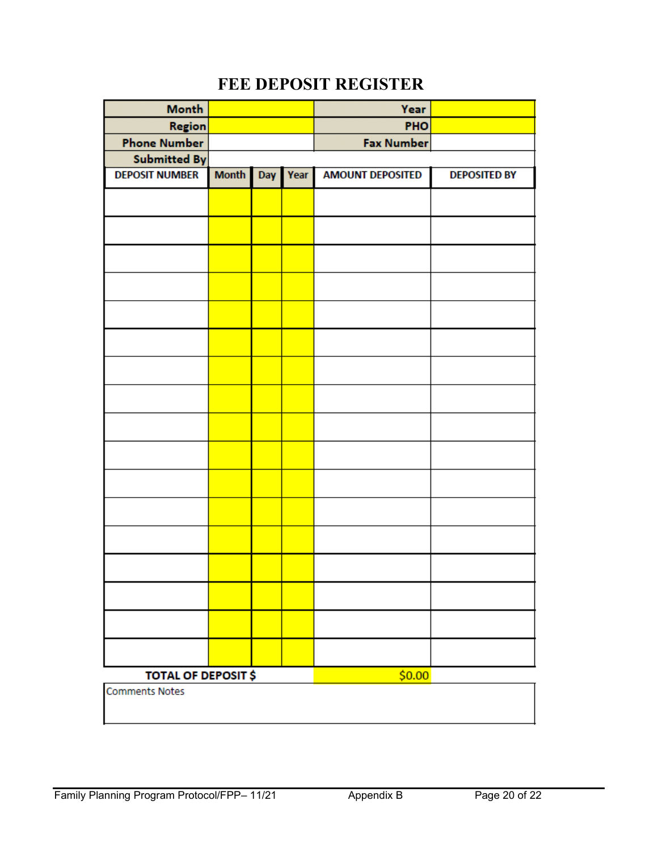# **FEE DEPOSIT REGISTER**

| Month                      |              |     |      | Year                    |                     |
|----------------------------|--------------|-----|------|-------------------------|---------------------|
| <b>Region</b>              |              |     |      | PHO                     |                     |
| <b>Phone Number</b>        |              |     |      | <b>Fax Number</b>       |                     |
| <b>Submitted By</b>        |              |     |      |                         |                     |
| <b>DEPOSIT NUMBER</b>      | <b>Month</b> | Day | Year | <b>AMOUNT DEPOSITED</b> | <b>DEPOSITED BY</b> |
|                            |              |     |      |                         |                     |
|                            |              |     |      |                         |                     |
|                            |              |     |      |                         |                     |
|                            |              |     |      |                         |                     |
|                            |              |     |      |                         |                     |
|                            |              |     |      |                         |                     |
|                            |              |     |      |                         |                     |
|                            |              |     |      |                         |                     |
|                            |              |     |      |                         |                     |
|                            |              |     |      |                         |                     |
|                            |              |     |      |                         |                     |
|                            |              |     |      |                         |                     |
|                            |              |     |      |                         |                     |
|                            |              |     |      |                         |                     |
|                            |              |     |      |                         |                     |
|                            |              |     |      |                         |                     |
|                            |              |     |      |                         |                     |
| <b>TOTAL OF DEPOSIT \$</b> |              |     |      | \$0.00                  |                     |
| <b>Comments Notes</b>      |              |     |      |                         |                     |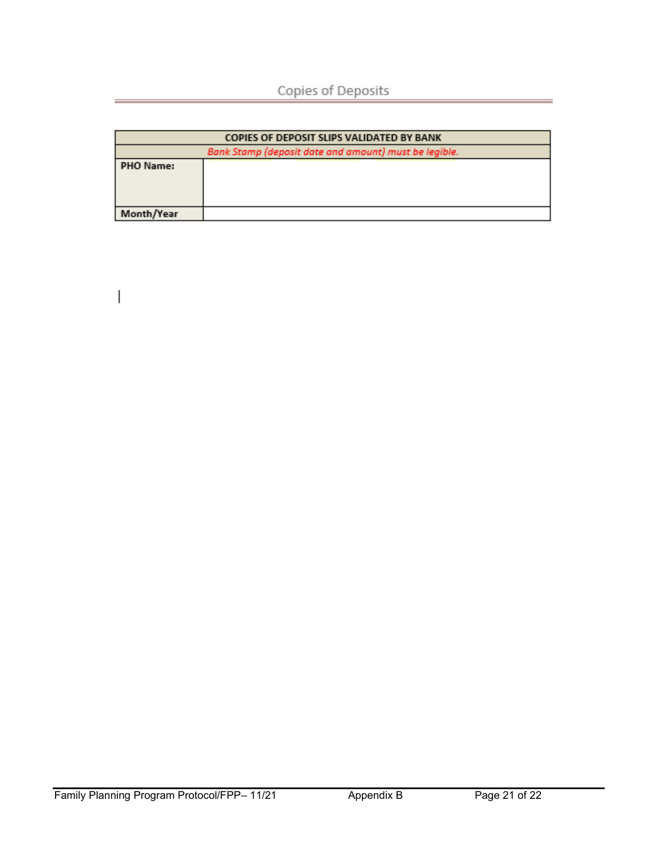| <b>COPIES OF DEPOSIT SLIPS VALIDATED BY BANK</b>      |  |  |
|-------------------------------------------------------|--|--|
| Bank Stamp (deposit date and amount) must be legible. |  |  |
| PHO Name:                                             |  |  |
| Month/Year                                            |  |  |

 $\overline{\phantom{a}}$